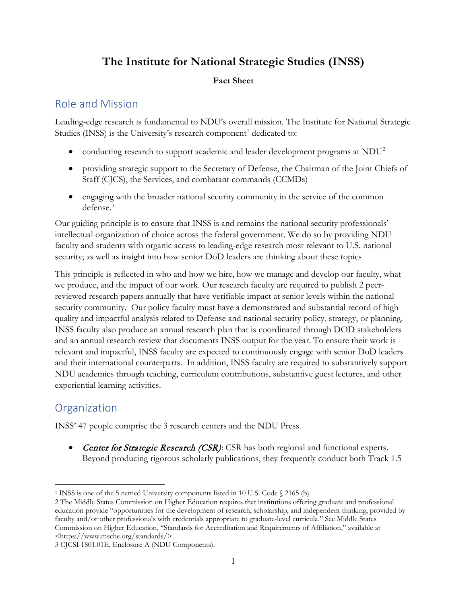# **The Institute for National Strategic Studies (INSS)**

#### **Fact Sheet**

## Role and Mission

Leading-edge research is fundamental to NDU's overall mission. The Institute for National Strategic Studies (INSS) is the University's research component<sup>[1](#page-0-0)</sup> dedicated to:

- conducting research to support academic and leader development programs at  $NDU<sup>2</sup>$  $NDU<sup>2</sup>$  $NDU<sup>2</sup>$
- providing strategic support to the Secretary of Defense, the Chairman of the Joint Chiefs of Staff (CJCS), the Services, and combatant commands (CCMDs)
- engaging with the broader national security community in the service of the common defense.[3](#page-0-2)

Our guiding principle is to ensure that INSS is and remains the national security professionals' intellectual organization of choice across the federal government. We do so by providing NDU faculty and students with organic access to leading-edge research most relevant to U.S. national security; as well as insight into how senior DoD leaders are thinking about these topics

This principle is reflected in who and how we hire, how we manage and develop our faculty, what we produce, and the impact of our work. Our research faculty are required to publish 2 peerreviewed research papers annually that have verifiable impact at senior levels within the national security community. Our policy faculty must have a demonstrated and substantial record of high quality and impactful analysis related to Defense and national security policy, strategy, or planning. INSS faculty also produce an annual research plan that is coordinated through DOD stakeholders and an annual research review that documents INSS output for the year. To ensure their work is relevant and impactful, INSS faculty are expected to continuously engage with senior DoD leaders and their international counterparts. In addition, INSS faculty are required to substantively support NDU academics through teaching, curriculum contributions, substantive guest lectures, and other experiential learning activities.

# **Organization**

INSS' 47 people comprise the 3 research centers and the NDU Press.

• Center for Strategic Research (CSR): CSR has both regional and functional experts. Beyond producing rigorous scholarly publications, they frequently conduct both Track 1.5

<span id="page-0-0"></span><sup>1</sup> INSS is one of the 5 named University components listed in 10 U.S. Code § 2165 (b).

<span id="page-0-1"></span><sup>2</sup> The Middle States Commission on Higher Education requires that institutions offering graduate and professional education provide "opportunities for the development of research, scholarship, and independent thinking, provided by faculty and/or other professionals with credentials appropriate to graduate-level curricula." See Middle States Commission on Higher Education, "Standards for Accreditation and Requirements of Affiliation," available at <https://www.msche.org/standards/>.

<span id="page-0-2"></span><sup>3</sup> CJCSI 1801.01E, Enclosure A (NDU Components).